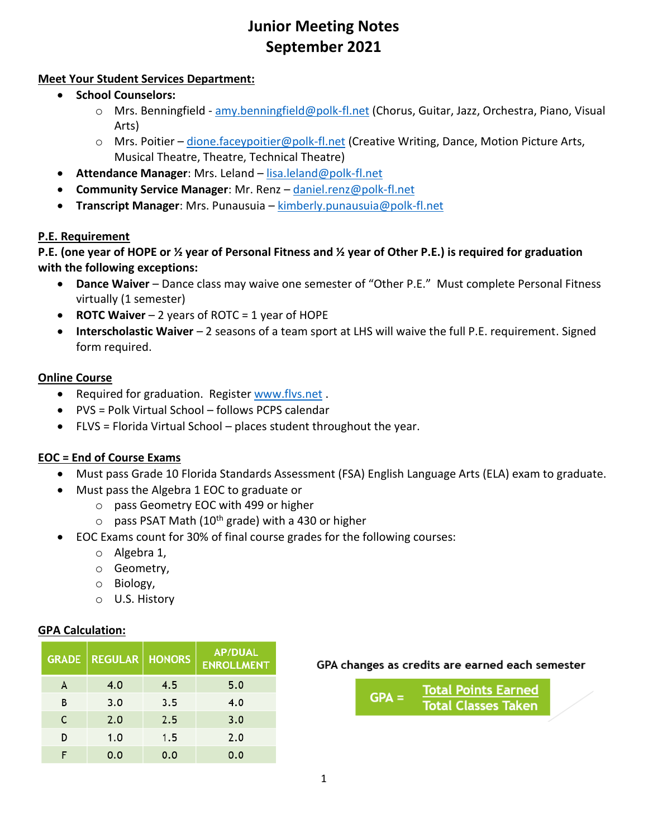# **Junior Meeting Notes September 2021**

## **Meet Your Student Services Department:**

- **School Counselors:**
	- o Mrs. Benningfield [amy.benningfield@polk-fl.net](mailto:amy.benningfield@polk-fl.net) (Chorus, Guitar, Jazz, Orchestra, Piano, Visual Arts)
	- $\circ$  Mrs. Poitier [dione.faceypoitier@polk-fl.net](mailto:dione.faceypoitier@polk-fl.net) (Creative Writing, Dance, Motion Picture Arts, Musical Theatre, Theatre, Technical Theatre)
- **Attendance Manager**: Mrs. Leland [lisa.leland@polk-fl.net](mailto:lisa.leland@polk-fl.net)
- **Community Service Manager**: Mr. Renz [daniel.renz@polk-fl.net](mailto:daniel.renz@polk-fl.net)
- **Transcript Manager**: Mrs. Punausuia [kimberly.punausuia@polk-fl.net](mailto:kimberly.punausuia@polk-fl.net)

## **P.E. Requirement**

**P.E. (one year of HOPE or ½ year of Personal Fitness and ½ year of Other P.E.) is required for graduation with the following exceptions:**

- **Dance Waiver** Dance class may waive one semester of "Other P.E." Must complete Personal Fitness virtually (1 semester)
- **ROTC Waiver** 2 years of ROTC = 1 year of HOPE
- **Interscholastic Waiver** 2 seasons of a team sport at LHS will waive the full P.E. requirement. Signed form required.

## **Online Course**

- Required for graduation. Register [www.flvs.net](http://www.flvs.net/) .
- PVS = Polk Virtual School follows PCPS calendar
- FLVS = Florida Virtual School places student throughout the year.

## **EOC = End of Course Exams**

- Must pass Grade 10 Florida Standards Assessment (FSA) English Language Arts (ELA) exam to graduate.
- Must pass the Algebra 1 EOC to graduate or
	- o pass Geometry EOC with 499 or higher
	- $\circ$  pass PSAT Math (10<sup>th</sup> grade) with a 430 or higher
- EOC Exams count for 30% of final course grades for the following courses:
	- o Algebra 1,
	- o Geometry,
	- o Biology,
	- o U.S. History

## **GPA Calculation:**

|   | <b>GRADE   REGULAR  </b> | <b>HONORS</b> | <b>AP/DUAL</b><br><b>ENROLLMENT</b> |
|---|--------------------------|---------------|-------------------------------------|
| A | 4.0                      | 4.5           | 5.0                                 |
| в | 3.0                      | 3.5           | 4.0                                 |
| C | 2.0                      | 2.5           | 3.0                                 |
| D | 1.0                      | 1.5           | 2.0                                 |
|   | 0.0                      | 0.0           | 0.0                                 |

## GPA changes as credits are earned each semester

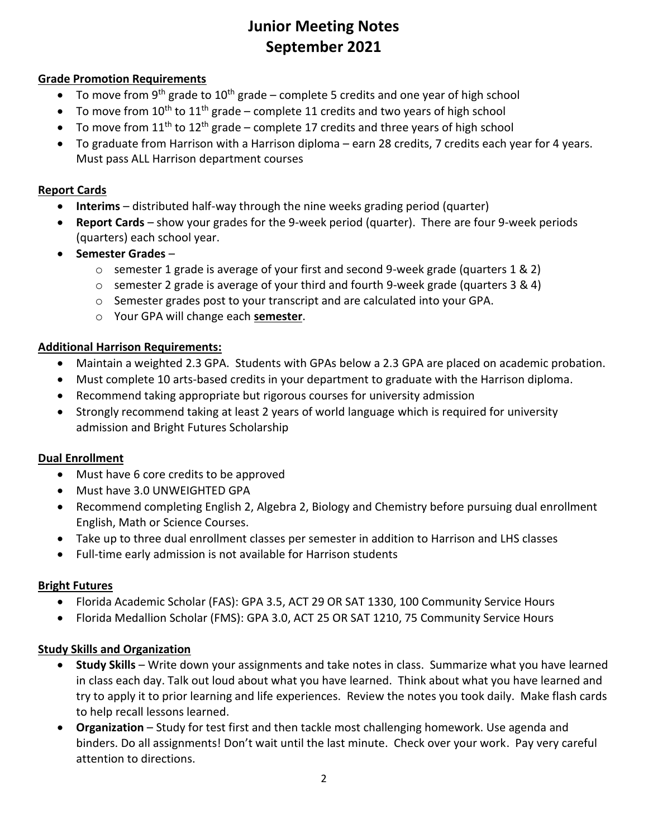# **Junior Meeting Notes September 2021**

## **Grade Promotion Requirements**

- To move from 9<sup>th</sup> grade to 10<sup>th</sup> grade complete 5 credits and one year of high school
- To move from  $10^{th}$  to  $11^{th}$  grade complete 11 credits and two years of high school
- To move from  $11<sup>th</sup>$  to  $12<sup>th</sup>$  grade complete 17 credits and three years of high school
- To graduate from Harrison with a Harrison diploma earn 28 credits, 7 credits each year for 4 years. Must pass ALL Harrison department courses

#### **Report Cards**

- **Interims**  distributed half-way through the nine weeks grading period (quarter)
- **Report Cards** show your grades for the 9-week period (quarter). There are four 9-week periods (quarters) each school year.
- **Semester Grades**
	- $\circ$  semester 1 grade is average of your first and second 9-week grade (quarters 1 & 2)
	- o semester 2 grade is average of your third and fourth 9-week grade (quarters 3 & 4)
	- $\circ$  Semester grades post to your transcript and are calculated into your GPA.
	- o Your GPA will change each **semester**.

#### **Additional Harrison Requirements:**

- Maintain a weighted 2.3 GPA. Students with GPAs below a 2.3 GPA are placed on academic probation.
- Must complete 10 arts-based credits in your department to graduate with the Harrison diploma.
- Recommend taking appropriate but rigorous courses for university admission
- Strongly recommend taking at least 2 years of world language which is required for university admission and Bright Futures Scholarship

#### **Dual Enrollment**

- Must have 6 core credits to be approved
- Must have 3.0 UNWEIGHTED GPA
- Recommend completing English 2, Algebra 2, Biology and Chemistry before pursuing dual enrollment English, Math or Science Courses.
- Take up to three dual enrollment classes per semester in addition to Harrison and LHS classes
- Full-time early admission is not available for Harrison students

#### **Bright Futures**

- Florida Academic Scholar (FAS): GPA 3.5, ACT 29 OR SAT 1330, 100 Community Service Hours
- Florida Medallion Scholar (FMS): GPA 3.0, ACT 25 OR SAT 1210, 75 Community Service Hours

## **Study Skills and Organization**

- **Study Skills** Write down your assignments and take notes in class. Summarize what you have learned in class each day. Talk out loud about what you have learned. Think about what you have learned and try to apply it to prior learning and life experiences. Review the notes you took daily. Make flash cards to help recall lessons learned.
- **Organization** Study for test first and then tackle most challenging homework. Use agenda and binders. Do all assignments! Don't wait until the last minute. Check over your work. Pay very careful attention to directions.